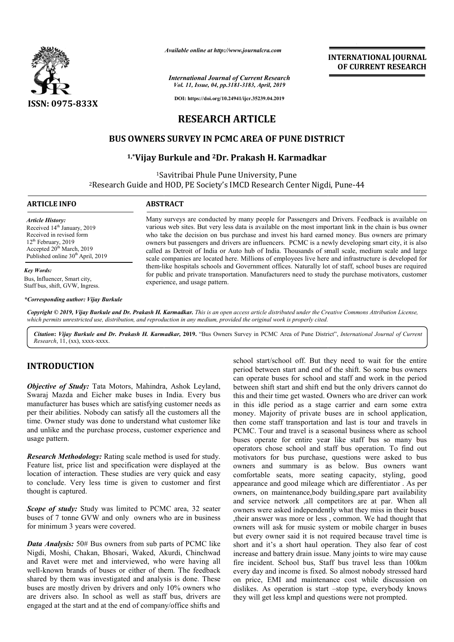

*Available online at http://www.journalcra.com*

*International Journal of Current Research Vol. 11, Issue, 04, pp.3181-3183, April, 2019*

**DOI: https://doi.org/10.24941/ijcr.35239.04.2019**

## **RESEARCH ARTICLE**

#### **BUS OWNERS SURVEY IN PCMC AREA OF PUNE DISTRICT OWNERS SURVEY**

### **1,\*Vijay Burkule and Vijay 2Dr. Prakash H. Karmadkar**

1Savitribai Phule Pune University, Pune 2Research Guide and HOD, PE Society's IMCD Research Center Nigdi, Pune Savitribai Research Research Guide Pune-44

| <b>ARTICLE INFO</b>                           | <b>ABSTRACT</b>                                                                                         |  |
|-----------------------------------------------|---------------------------------------------------------------------------------------------------------|--|
| <b>Article History:</b>                       | Many surveys are conducted by many people for Passengers and Drivers. Feedback is available on          |  |
| Received 14 <sup>th</sup> January, 2019       | various web sites. But very less data is available on the most important link in the chain is bus owner |  |
| Received in revised form                      | who take the decision on bus purchase and invest his hard earned money. Bus owners are primary          |  |
| 12 <sup>th</sup> February, 2019               | owners but passengers and drivers are influencers. PCMC is a newly developing smart city, it is also    |  |
| Accepted 20 <sup>th</sup> March, 2019         | called as Detroit of India or Auto hub of India. Thousands of small scale, medium scale and large       |  |
| Published online 30 <sup>th</sup> April, 2019 | scale companies are located here. Millions of employees live here and infrastructure is developed for   |  |
| <b>Key Words:</b>                             | them-like hospitals schools and Government offices. Naturally lot of staff, school buses are required   |  |
| Bus, Influencer, Smart city,                  | for public and private transportation. Manufacturers need to study the purchase motivators, customer    |  |
| Staff bus, shift, GVW, Ingress.               | experience, and usage pattern.                                                                          |  |
| *Corresponding author: Vijay Burkule          |                                                                                                         |  |

Copyright © 2019, Vijay Burkule and Dr. Prakash H. Karmadkar. This is an open access article distributed under the Creative Commons Attribution License, which permits unrestricted use, distribution, and reproduction in any medium, provided the original work is properly cited.

Citation: Vijay Burkule and Dr. Prakash H. Karmadkar, 2019. "Bus Owners Survey in PCMC Area of Pune District", International Journal of Current *Research*, 11, (xx), xxxx-xxxx.

## **INTRODUCTION**

*Objective of Study:* Tata Motors, Mahindra, Ashok Leyland, Swaraj Mazda and Eicher make buses in India. Every bus manufacturer has buses which are satisfying customer needs as per their abilities. Nobody can satisfy all the customers all the time. Owner study was done to understand what customer like and unlike and the purchase process, customer experience and usage pattern.

*Research Methodology:* Rating scale method is used for study. Feature list, price list and specification were displayed at the location of interaction. These studies are very quick and easy to conclude. Very less time is given to customer and first thought is captured.

*Scope of study:* Study was limited to PCMC area, 32 seater buses of 7 tonne GVW and only owners who are in business for minimum 3 years were covered.

*Data Analysis:* 50# Bus owners from sub parts of PCMC like Nigdi, Moshi, Chakan, Bhosari, Waked, Akurdi, Chinchwad and Ravet were met and interviewed, who were having all well-known brands of buses or either of them. The feedback shared by them was investigated and analysis is done. These buses are mostly driven by drivers and only 10% owners who are drivers also. In school as well as staff bus, drivers are engaged at the start and at the end of company/office shifts and **e of study:** Study was limited<br>is of 7 tonne GVW and only over<br>inimum 3 years were covered.<br>**Analysis:** 50# Bus owners from<br>i, Moshi, Chakan, Bhosari, Wavet were met and interview<br>known brands of buses or eith

school start/school off. But they need to wait for the entire period between start and end of the shift. So some bus owners can operate buses for school and staff and work in the period between shift start and shift end but the only drivers cannot do this and their time get wasted. Owners who are driver can work in this idle period as a stage carrier and earn some extra money. Majority of private buses are in school application, then come staff transportation and last is tour and travels in PCMC. Tour and travel is a seasonal business where as school buses operate for entire year like staff bus so many bus operators chose school and staff bus operation. To find out motivators for bus purchase, questions were asked to bus owners and summary is as below. Bus owners want comfortable seats, more seating capacity, styling, good appearance and good mileage which are differentiator . As per appearance and good mileage which are differentiator. As per owners, on maintenance,body building, spare part availability and service network ,all competitors are at par. When all owners were asked independently what they miss in their buses owners were asked independently what they miss in their buses , their answer was more or less, common. We had thought that owners will ask for music system or mobile charger in buses but every owner said it is not required because travel time is short and it's a short haul operation. They also fear of cost increase and battery drain issue. Many joints to wire may cause fire incident. School bus, Staff bus travel less than 100km every day and income is fixed. So almost nobody stressed hard on price, EMI and maintenance cost while discussion on dislikes. As operation is start -stop type, everybody knows they will get less kmpl and questions were not prompted. but start/school off. But they need to wait for the entire d between start and end of the shift. So some bus owners pperate buses for school and staff and work in the period and their time get wasted. Owners who are driver owners will ask for music system or mobile charger in buses<br>but every owner said it is not required because travel time is<br>short and it's a short haul operation. They also fear of cost<br>increase and battery drain issue. Man INTERNATIONAL JOURNAL<br>
SERVICTOR CONSTRUCT<br>
SERVICT CONSTRUCT<br>
THE AND TO CURRENT RESEARCH<br>
THE AND ASSEMBLE TO THE CONSTRUCT<br>
THE ANTIFORMATION (DETRICT T<br>
THE ANTIFORMATION (DETRICT T<br>
THE ANTIFORMATION (DETRICT T<br>
THE

**INTERNATIONAL JOURNAL OF CURRENT RESEARCH**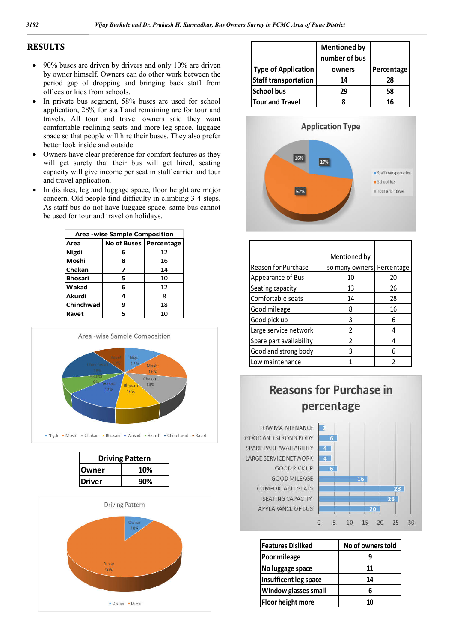# **RESULTS**

- 90% buses are driven by drivers and only 10% are driven by owner himself. Owners can do other work between the period gap of dropping and bringing back staff from offices or kids from schools.
- In private bus segment, 58% buses are used for school application, 28% for staff and remaining are for tour and travels. All tour and travel owners said they want comfortable reclining seats and more leg space, luggage space so that people will hire their buses. They also prefer better look inside and outside. lication, 28% for staff and remaining are for tour and<br>rels. All tour and travel owners said they want<br>nfortable reclining seats and more leg space, luggage<br>ce so that people will hire their buses. They also prefer<br>er look
- Owners have clear preference for comfort features as they will get surety that their bus will get hired, seating capacity will give income per seat in staff carrier and tour and travel application.
- In dislikes, leg and luggage space, floor height are major concern. Old people find difficulty in climbing 3 3-4 steps. As staff bus do not have luggage space, same bus cannot be used for tour and travel on holidays.

| <b>Area-wise Sample Composition</b> |                          |    |  |  |
|-------------------------------------|--------------------------|----|--|--|
| Area                                | No of Buses   Percentage |    |  |  |
| Nigdi                               | 6                        | 12 |  |  |
| Moshi                               | 8                        | 16 |  |  |
| Chakan                              | 7                        | 14 |  |  |
| <b>Bhosari</b>                      | 5                        | 10 |  |  |
| Wakad                               | 6                        | 12 |  |  |
| <b>Akurdi</b>                       | 4                        | 8  |  |  |
| Chinchwad                           | 9                        | 18 |  |  |
| Ravet                               | 5                        | 10 |  |  |



| <b>Driving Pattern</b> |     |  |
|------------------------|-----|--|
| Owner                  | 10% |  |
| <b>Driver</b>          | 90% |  |
|                        |     |  |



|                             | <b>Mentioned by</b><br>number of bus |            |
|-----------------------------|--------------------------------------|------------|
| <b>Type of Application</b>  | owners                               | Percentage |
| <b>Staff transportation</b> | 14                                   | 28         |
| <b>School bus</b>           | 29                                   | 58         |
| <b>Tour and Travel</b>      |                                      | 16         |



|                            | Mentioned by   |            |
|----------------------------|----------------|------------|
| <b>Reason for Purchase</b> | so many owners | Percentage |
| Appearance of Bus          | 10             | 20         |
| Seating capacity           | 13             | 26         |
| Comfortable seats          | 14             | 28         |
| Good mileage               | 8              | 16         |
| Good pick up               | ς              | 6          |
| Large service network      | 2              | 4          |
| Spare part availability    | າ              | 4          |
| Good and strong body       | ς              | հ          |
| Low maintenance            |                |            |



LOW MAINTENANCE **GOOD AND STRONG BODY** SPARE PART AVAILABILITY LARGE SERVICE NETWORK **GOOD PICK UP GOOD MILEAGE** COMFORTABLE SEATS SEATING CAPACITY APPEARANCE OF BUS



| <b>Features Disliked</b>    | No of owners told |  |
|-----------------------------|-------------------|--|
| Poor mileage                |                   |  |
| No luggage space            | 11                |  |
| Insufficent leg space       | 14                |  |
| <b>Window glasses small</b> | h                 |  |
| <b>Floor height more</b>    | 10                |  |